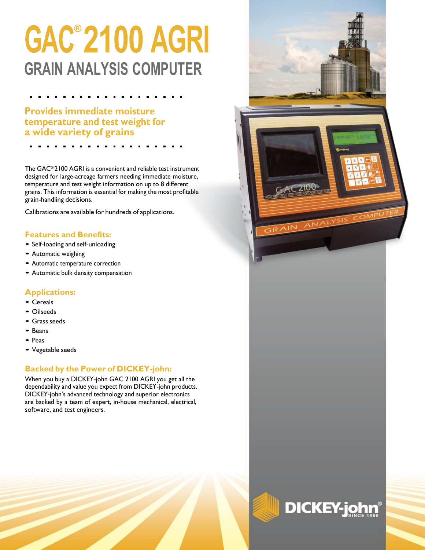# **GAC® 2100 AGRI GRAIN ANALYSIS COMPUTER**

**Provides immediate moisture temperature and test weight for a wide variety of grains**

The GAC® 2100 AGRI is a convenient and reliable test instrument designed for large-acreage farmers needing immediate moisture, temperature and test weight information on up to 8 different grains. This information is essential for making the most profitable grain-handling decisions.

Calibrations are available for hundreds of applications.

### **Features and Benefits:**

- Self-loading and self-unloading
- Automatic weighing
- Automatic temperature correction
- Automatic bulk density compensation

### **Applications:**

- Cereals
- Oilseeds
- Grass seeds
- Beans
- Peas
- Vegetable seeds

### **Backed by the Power of DICKEY-john:**

When you buy a DICKEY-john GAC 2100 AGRI you get all the dependability and value you expect from DICKEY-john products. DICKEY-john's advanced technology and superior electronics are backed by a team of expert, in-house mechanical, electrical, software, and test engineers.